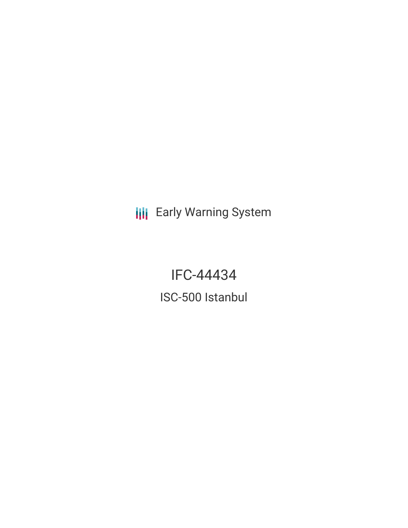**III** Early Warning System

IFC-44434 ISC-500 Istanbul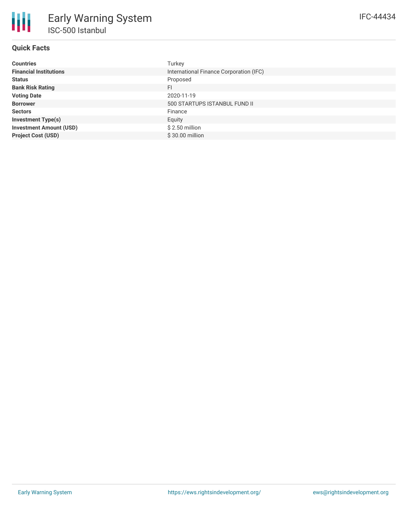# **Quick Facts**

| <b>Countries</b>               | Turkey                                  |
|--------------------------------|-----------------------------------------|
| <b>Financial Institutions</b>  | International Finance Corporation (IFC) |
| <b>Status</b>                  | Proposed                                |
| <b>Bank Risk Rating</b>        | FI                                      |
| <b>Voting Date</b>             | 2020-11-19                              |
| <b>Borrower</b>                | 500 STARTUPS ISTANBUL FUND II           |
| <b>Sectors</b>                 | Finance                                 |
| <b>Investment Type(s)</b>      | Equity                                  |
| <b>Investment Amount (USD)</b> | $$2.50$ million                         |
| <b>Project Cost (USD)</b>      | \$30.00 million                         |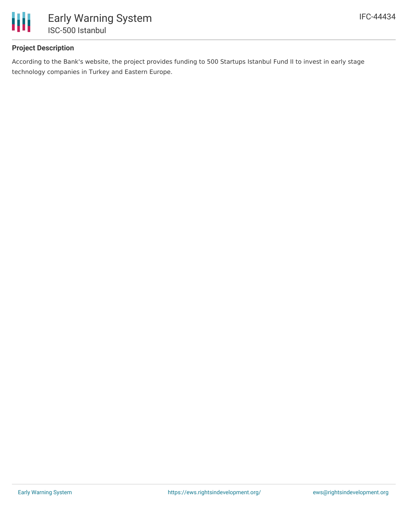

## **Project Description**

According to the Bank's website, the project provides funding to 500 Startups Istanbul Fund II to invest in early stage technology companies in Turkey and Eastern Europe.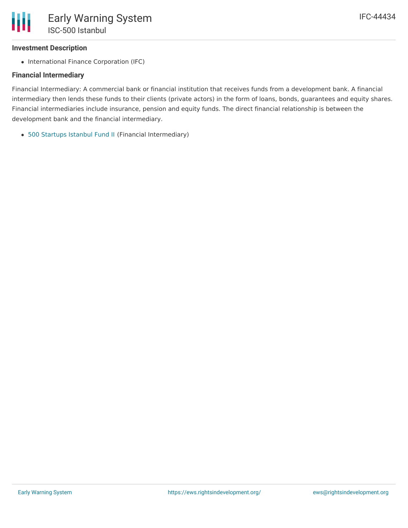## **Investment Description**

• International Finance Corporation (IFC)

## **Financial Intermediary**

Financial Intermediary: A commercial bank or financial institution that receives funds from a development bank. A financial intermediary then lends these funds to their clients (private actors) in the form of loans, bonds, guarantees and equity shares. Financial intermediaries include insurance, pension and equity funds. The direct financial relationship is between the development bank and the financial intermediary.

500 [Startups](file:///actor/3775/) Istanbul Fund II (Financial Intermediary)